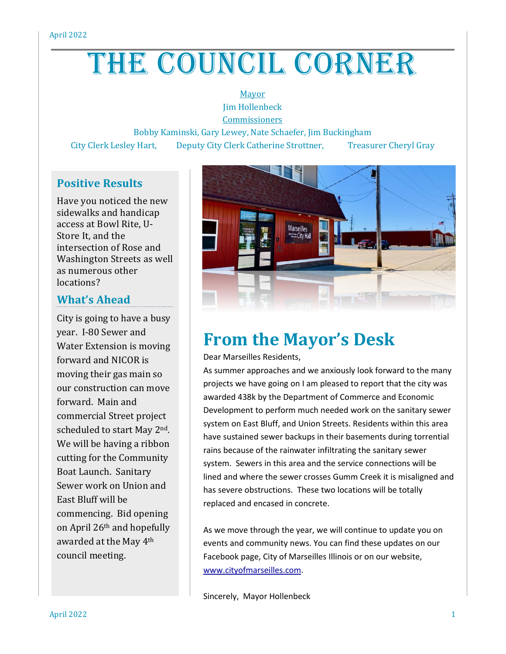# THE COUNCIL CORNER

#### Mayor Jim Hollenbeck

**Commissioners** 

Bobby Kaminski, Gary Lewey, Nate Schaefer, Jim Buckingham

City Clerk Lesley Hart, Deputy City Clerk Catherine Strottner, Treasurer Cheryl Gray

### **Positive Results**

Have you noticed the new sidewalks and handicap access at Bowl Rite, U-Store It, and the intersection of Rose and Washington Streets as well as numerous other locations?

### **What's Ahead**

City is going to have a busy year. I-80 Sewer and Water Extension is moving forward and NICOR is moving their gas main so our construction can move forward. Main and commercial Street project scheduled to start May 2nd. We will be having a ribbon cutting for the Community Boat Launch. Sanitary Sewer work on Union and East Bluff will be commencing. Bid opening on April 26th and hopefully awarded at the May 4th council meeting.



## **From the Mayor's Desk**

Dear Marseilles Residents,

As summer approaches and we anxiously look forward to the many projects we have going on I am pleased to report that the city was awarded 438k by the Department of Commerce and Economic Development to perform much needed work on the sanitary sewer system on East Bluff, and Union Streets. Residents within this area have sustained sewer backups in their basements during torrential rains because of the rainwater infiltrating the sanitary sewer system. Sewers in this area and the service connections will be lined and where the sewer crosses Gumm Creek it is misaligned and has severe obstructions. These two locations will be totally replaced and encased in concrete.

As we move through the year, we will continue to update you on events and community news. You can find these updates on our Facebook page, City of Marseilles Illinois or on our website, [www.cityofmarseilles.com.](http://www.cityofmarseilles.com/)

Sincerely, Mayor Hollenbeck